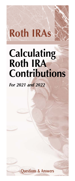# **Roth IRAs**

# **Calculating Roth IRA Contributions**

*For 2021 and 2022*

**Questions & Answers**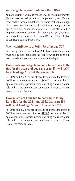## **Am I eligible to contribute to a Roth IRA?**

You are eligible if you satisfy the following two requirements: (1) you have earned income or compensation; and (2) you meet certain income limitations. Be aware that you are eligible to make contributions to a Roth IRA even though you are age 72 or older, or you participate in a 401(k) plan or other employer sponsored pension plan. For a given year, you may be ineligible to contribute to a Roth IRA, but still be eligible to contribute to a traditional IRA.

#### **May I contribute to a Roth IRA after age 72?**

Yes, no age limit is imposed for Roth IRA contributions. You must have earned income for the year for which the contribution is made and your income cannot be too high.

#### **How much am I eligible to contribute to my Roth IRA for the 2021 and 2022 tax years if I will NOT be at least age 50 as of December 31?**

For 2021 and 2022 you are eligible to contribute the lesser of 100% of your compensation, or  $$6,000$  as reduced by (1) application of the special income and filing status limitation rule and (2) any amount you contributed to your traditional IRA for the same tax year.

#### **How much am I eligible to contribute to my Roth IRA for the 2021 and 2022 tax years if I will be at least age 50 as of December 31?**

For 2021 and 2022 you are eligible to contribute the lesser of 100% of your compensation, or  $$7,000$ , as reduced by (1) application of the special income and filing status limitation rule and (2) any amount you contributed to your traditional IRA for the same tax year.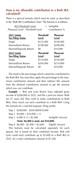#### **How is my allowable contribution to a Roth IRA calculated?**

There is a special formula which must be used, as described in the "Roth IRA Contribution Chart." The formula is as follows:

| AGI-Threshold Level              | $=$ Ineligible |
|----------------------------------|----------------|
| Phaseout Level - Threshold Level | Contribution % |

| 2021 Limits<br><b>Tax-Filing Status</b> | <b>Threshold</b><br>Level | <b>Phaseout</b><br>Level |
|-----------------------------------------|---------------------------|--------------------------|
| Single                                  | \$125,000                 | \$140,000                |
| Married/Joint Return                    | \$198,000                 | \$208,000                |
| Married/Separate Return                 | \$0                       | \$10,000                 |
|                                         |                           |                          |
| 2022 Limits<br><b>Tax-Filing Status</b> | <b>Threshold</b><br>Level | <b>Phaseout</b><br>Level |
| Single                                  | \$129,000                 | \$144,000                |
| Married/Joint Return                    | \$204,000                 | \$214,000                |

 The result is the percentage which cannot be contributed to the Roth IRA. You must then apply this percentage to the maximum contribution amount and then subtract this amount from the allowed contribution amount to get the amount which you can contribute.

**Example** — Bob and Lynn Brown have adjusted gross income of \$208,000 in 2022, and file a joint tax return. Both are 47 years old. They wish to make contributions to Roth IRAs. How much can each contribute to a Roth IRA? Using the formula for a married taxpayer, filing jointly:

 Step 1 \$208,000 - \$204,000/\$10,000 Step 2  $$4,000 \div $10,000 = .4$  Step 3 6,000 X .4 = \$2,400 *Ineligible Amount* (**Note: \$6,000 is used, not \$10,000)** Step 4 \$6,000 - \$2,400 = \$3,600 *Eligible Amount*

 This formula must be calculated separately for each spouse, but is based on their combined income. Bob and Lynn could each contribute up to \$3,600 to a Roth IRA in 2022, for a total contribution amount of \$7,200.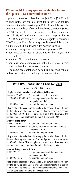#### **When might I or my spouse be eligible to use the spousal IRA contribution rules?**

If your compensation is less than the \$6,000 or \$7,000 limit, as applicable, then you are permitted to use your spouse's compensation when making your Roth IRA contribution. This generally means both of you will be able to contribute \$6,000 or \$7,000 as applicable. For example, you have compensation of \$1,400 and your spouse has compensation of \$42,000. You are both age 54. You are eligible to contribute \$7,000 to your Roth IRA. Your spouse is also eligible to contribute \$7,000. The following rules must be satisfied:

- You and your spouse must each have your own IRA.
- You must be married as of the end of the tax year (i.e. December 31).
- You must file a joint income tax return.
- You must have compensation includible in gross income which is less than that of your spouse.

 The combined contribution by both spouses must equal or be less than their combined eligible compensation.

## **Roth IRA Contribution Chart for 2021**

Amount of AGI and Filing Status

#### **Single, Head of Household or Qualifying Widow(er)**  $B$  Entitled to full contribution amount

| DUIUW JILJ,UUU    | LHUUCU W TUH COHUNDUUDH AHIOUHC                                   |
|-------------------|-------------------------------------------------------------------|
|                   | \$125,000-\$139,999.99 Entitled to prorated contribution amount - |
|                   | use special formula*                                              |
| \$140,000 or more | No contribution permissible                                       |

\*Explanation of special formula. Multiply the permissible contribution by the following ratio: amount of adjusted gross income in excess of \$125,000/\$15,000. This will give you a ratio that determines the amount you cannot contribute. Round to the lowest \$10.00.

#### **Married Filing Jointly**

| Below \$198,000      | Entitled to full contribution amount.      |
|----------------------|--------------------------------------------|
| \$198,000-205,999.99 | Entitled to prorated contribution amount - |
|                      | use special formula*                       |
| \$208,000 or more    | No contribution permissible.               |

\*Explanation of special formula. Multiply the permissible contribution by the following ratio: amount of adjusted gross income in excess of \$198,000/\$10,000. This will give you a ratio that determines the amount you cannot contribute. Round to the lowest \$10.00.

#### **Married Filing Separate Returns**

| \$0-\$9,999.99   | Entitled to prorated contribution amount - |
|------------------|--------------------------------------------|
|                  | use special formula*                       |
| \$10,000 or more | No contribution permissible                |

\*Explanation of special formula. Multiply the permissible contribution by the following ratio: amount of adjusted gross income in excess of \$0/\$10,000. This will give you a ratio that determines the amount you cannot contribute. Round to the lowest \$10.00.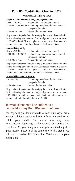# **Roth IRA Contribution Chart for 2022**

Amount of AGI and Filing Status

#### **Single, Head of Household or Qualifying Widow(er)**

| Below \$129,000   | Entitled to full contribution amount                              |
|-------------------|-------------------------------------------------------------------|
|                   | \$129,000-\$143,999.99 Entitled to prorated contribution amount - |
|                   | use special formula*                                              |
| \$144,000 or more | No contribution permissible                                       |

\*Explanation of special formula. Multiply the permissible contribution by the following ratio: amount of adjusted gross income in excess of

\$129,000/\$15,000. This will give you a ratio that determines the amount you cannot contribute. Round to the lowest \$10.00.

#### **Married Filing Jointly**

| Below \$204,000      | Entitled to full contribution amount.      |
|----------------------|--------------------------------------------|
| \$204.000-213.999.99 | Entitled to prorated contribution amount - |
|                      | use special formula*                       |
| \$214,000 or more    | No contribution permissible.               |

\*Explanation of special formula. Multiply the permissible contribution by the following ratio: amount of adjusted gross income in excess of \$204,000/\$10,000. This will give you a ratio that determines the amount you cannot contribute. Round to the lowest \$10.00.

#### **Married Filing Separate Returns**

| \$0-\$9,999.99   | Entitled to prorated contribution amount - |
|------------------|--------------------------------------------|
|                  | use special formula*                       |
| \$10,000 or more | No contribution permissible                |

\*Explanation of special formula. Multiply the permissible contribution by the following ratio: amount of adjusted gross income in excess of \$0/\$10,000. This will give you a ratio that determines the amount you cannot contribute. Round to the lowest \$10.00.

#### **To what extent may I be entitled to a tax credit for my Roth IRA contributions?**

You may be eligible for a tax credit for contributions you make to your traditional and/or Roth IRA. A formula is used to calculate your credit. Your credit may vary from \$1 to \$1,000, depending on the amount you contribute to your Roth IRA, your filing status and your modified adjusted gross income. Because of the complexity of this credit, you will want to review IRS Publication 590-A for a complete explanation.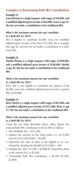# **Examples of determining Roth IRA Contributions**

#### **Example #1.**

**Laura Rixman is a single taxpayer with wages of \$30,000, and a modified adjusted gross income of \$44,000. Laura is age 45. She has not made a contribution to her traditional IRA.**

#### *What is the maximum amount she may contribute to a Roth IRA for 2021?*

She is eligible to contribute \$6,000, since her modified adjusted gross income is less than \$125,000, she is younger than age 50, and she has not made a contribution to a traditional IRA.

#### **Example #2.**

**Martha Thomas is a single taxpayer with wages of \$90,000, and a modified adjusted gross income of \$148,000. Martha is age 48. She has not made a contribution to her traditional IRA.**

#### *What is the maximum amount she may contribute to a Roth IRA for 2021?*

Zero. She is not eligible to contribute any portion of the \$6,000, since her modified adjusted gross income is greater than \$140,000.

#### **Example #3.**

**Betsy Harms is a single taxpayer with wages of \$95,000, and a modified adjusted gross income of \$131,000. Betsy is age 72. She has not made a contribution to her traditional IRA.**

#### *What is the maximum amount she may contribute to a Roth IRA for 2021?*

Using the five steps described above, Betsy figures her reduced Roth IRA contribution to be \$3,900 as follows:

- 1. Her Modified AGI = \$131,000
- 2. Subtract the amount for her filing status (i.e. \$125,000) from her \$131,000 MAGI = \$6,000
- 3. Determine the ratio of what is not eligible to be contributed by dividing the  $$6,000$  by  $$15,000 = .400$
- 4. Multiply the .400 x \$7,000 = \$2,800.00. Round this down to the nearest \$10, or \$2,800.
- 5. Permissible Roth IRA contribution = \$4,200 (\$7,000- \$2,800).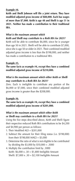#### **Example #4.**

**Keith and Shelli Johnson will file a joint return. They have modified adjusted gross income of \$88,000. Each has wages of more than \$7,000. Keith is age 48 and Shelli is age 51 in 2021. Neither has made a contribution to their traditional IRA.**

#### *What is the maximum amount which Keith and Shelli may contribute to a Roth IRA for 2021?*

Keith will be able to contribute \$6,000, since he is younger than age 50 in 2021. Shelli will be able to contribute \$7,000, since she is age 50 or older in 2021. Their combined modified adjusted gross income is less than the \$198,000, and neither has made a contribution to a traditional IRA.

#### **Example #5.**

**The same facts as example #4, except they have a combined modified adjusted gross income of \$210,000.**

#### *What is the maximum amount which either Keith or Shelli may contribute to a Roth IRA for 2021?*

Zero. Each is ineligible to contribute any portion of the \$6,000 or \$7,000, since their combined modified adjusted gross income is greater than the \$208,000.

#### **Example #6.**

#### **The same facts as example #4, except they have a combined modified adjusted gross income of \$201,000.**

#### *What is the maximum amount which either Keith or Shelli may contribute to a Roth IRA for 2021?*

Using the five steps described above, Keith and Shelli figure their respective reduced Roth IRA contributions to be \$4,200 and \$4,900 per person as follows:

- 1. Their Modified AGI = \$201,000
- 2. Subtract the amount for their filing status (i.e. \$198,000) from their \$198,000 MAGI = \$3,000
- 3. Determine the ratio of what is not eligible to be contributed by dividing the \$3,000 by \$10,000 = .3000
- 4. Multiply the contribution limit by .3000 Keith:  $$6,000 \times .30 = $1,800$  Ineligible Amount Shelli: \$7,000 x .30 = \$2,100 Ineligible Amount